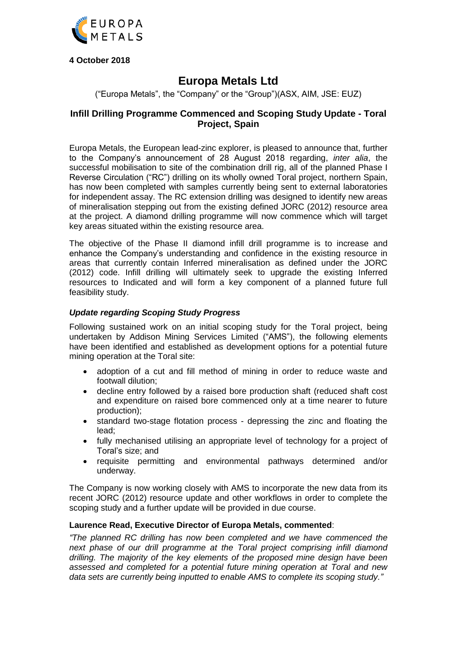

**4 October 2018**

# **Europa Metals Ltd**

("Europa Metals", the "Company" or the "Group")(ASX, AIM, JSE: EUZ)

# **Infill Drilling Programme Commenced and Scoping Study Update - Toral Project, Spain**

Europa Metals, the European lead-zinc explorer, is pleased to announce that, further to the Company's announcement of 28 August 2018 regarding, *inter alia*, the successful mobilisation to site of the combination drill rig, all of the planned Phase I Reverse Circulation ("RC") drilling on its wholly owned Toral project, northern Spain, has now been completed with samples currently being sent to external laboratories for independent assay. The RC extension drilling was designed to identify new areas of mineralisation stepping out from the existing defined JORC (2012) resource area at the project. A diamond drilling programme will now commence which will target key areas situated within the existing resource area.

The objective of the Phase II diamond infill drill programme is to increase and enhance the Company's understanding and confidence in the existing resource in areas that currently contain Inferred mineralisation as defined under the JORC (2012) code. Infill drilling will ultimately seek to upgrade the existing Inferred resources to Indicated and will form a key component of a planned future full feasibility study.

# *Update regarding Scoping Study Progress*

Following sustained work on an initial scoping study for the Toral project, being undertaken by Addison Mining Services Limited ("AMS"), the following elements have been identified and established as development options for a potential future mining operation at the Toral site:

- adoption of a cut and fill method of mining in order to reduce waste and footwall dilution;
- decline entry followed by a raised bore production shaft (reduced shaft cost and expenditure on raised bore commenced only at a time nearer to future production);
- standard two-stage flotation process depressing the zinc and floating the lead;
- fully mechanised utilising an appropriate level of technology for a project of Toral's size; and
- requisite permitting and environmental pathways determined and/or underway.

The Company is now working closely with AMS to incorporate the new data from its recent JORC (2012) resource update and other workflows in order to complete the scoping study and a further update will be provided in due course.

## **Laurence Read, Executive Director of Europa Metals, commented**:

*"The planned RC drilling has now been completed and we have commenced the next phase of our drill programme at the Toral project comprising infill diamond drilling. The majority of the key elements of the proposed mine design have been assessed and completed for a potential future mining operation at Toral and new data sets are currently being inputted to enable AMS to complete its scoping study."*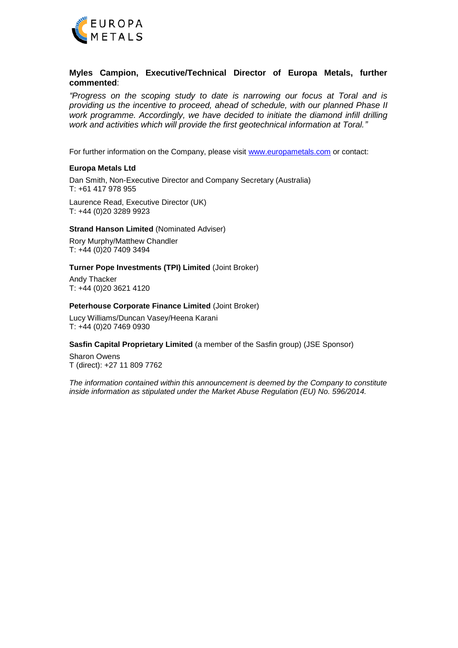

## **Myles Campion, Executive/Technical Director of Europa Metals, further commented**:

*"Progress on the scoping study to date is narrowing our focus at Toral and is providing us the incentive to proceed, ahead of schedule, with our planned Phase II work programme. Accordingly, we have decided to initiate the diamond infill drilling work and activities which will provide the first geotechnical information at Toral."* 

For further information on the Company, please visit [www.europametals.com](http://www.europametals.com/) or contact:

#### **Europa Metals Ltd**

Dan Smith, Non-Executive Director and Company Secretary (Australia) T: +61 417 978 955

Laurence Read, Executive Director (UK) T: +44 (0)20 3289 9923

#### **Strand Hanson Limited** (Nominated Adviser)

Rory Murphy/Matthew Chandler T: +44 (0)20 7409 3494

#### **Turner Pope Investments (TPI) Limited** (Joint Broker)

Andy Thacker T: +44 (0)20 3621 4120

#### **Peterhouse Corporate Finance Limited** (Joint Broker)

Lucy Williams/Duncan Vasey/Heena Karani T: +44 (0)20 7469 0930

### **Sasfin Capital Proprietary Limited** (a member of the Sasfin group) (JSE Sponsor)

Sharon Owens T (direct): +27 11 809 7762

*The information contained within this announcement is deemed by the Company to constitute inside information as stipulated under the Market Abuse Regulation (EU) No. 596/2014.*